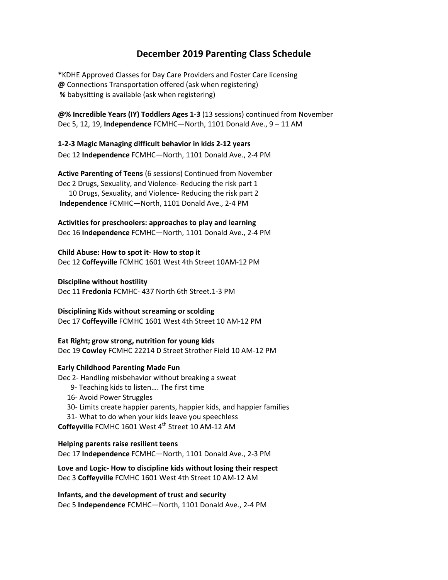# **December 2019 Parenting Class Schedule**

**\***KDHE Approved Classes for Day Care Providers and Foster Care licensing **@** Connections Transportation offered (ask when registering) **%** babysitting is available (ask when registering)

**@% Incredible Years (IY) Toddlers Ages 1‐3** (13 sessions) continued from November Dec 5, 12, 19, **Independence** FCMHC—North, 1101 Donald Ave., 9 – 11 AM

**1‐2‐3 Magic Managing difficult behavior in kids 2‐12 years** Dec 12 **Independence** FCMHC—North, 1101 Donald Ave., 2‐4 PM

**Active Parenting of Teens** (6 sessions) Continued from November Dec 2 Drugs, Sexuality, and Violence- Reducing the risk part 1 10 Drugs, Sexuality, and Violence‐ Reducing the risk part 2 **Independence** FCMHC—North, 1101 Donald Ave., 2‐4 PM

**Activities for preschoolers: approaches to play and learning** Dec 16 **Independence** FCMHC—North, 1101 Donald Ave., 2‐4 PM

**Child Abuse: How to spot it‐ How to stop it** Dec 12 **Coffeyville** FCMHC 1601 West 4th Street 10AM‐12 PM

**Discipline without hostility**

Dec 11 **Fredonia** FCMHC‐ 437 North 6th Street.1‐3 PM

**Disciplining Kids without screaming or scolding** Dec 17 **Coffeyville** FCMHC 1601 West 4th Street 10 AM‐12 PM

**Eat Right; grow strong, nutrition for young kids** Dec 19 **Cowley** FCMHC 22214 D Street Strother Field 10 AM‐12 PM

# **Early Childhood Parenting Made Fun**

Dec 2‐ Handling misbehavior without breaking a sweat

- 9‐ Teaching kids to listen…. The first time
- 16‐ Avoid Power Struggles
- 30‐ Limits create happier parents, happier kids, and happier families

31- What to do when your kids leave you speechless

Coffeyville FCMHC 1601 West 4<sup>th</sup> Street 10 AM-12 AM

#### **Helping parents raise resilient teens**

Dec 17 **Independence** FCMHC—North, 1101 Donald Ave., 2‐3 PM

**Love and Logic‐ How to discipline kids without losing their respect** Dec 3 **Coffeyville** FCMHC 1601 West 4th Street 10 AM‐12 AM

**Infants, and the development of trust and security** Dec 5 **Independence** FCMHC—North, 1101 Donald Ave., 2‐4 PM